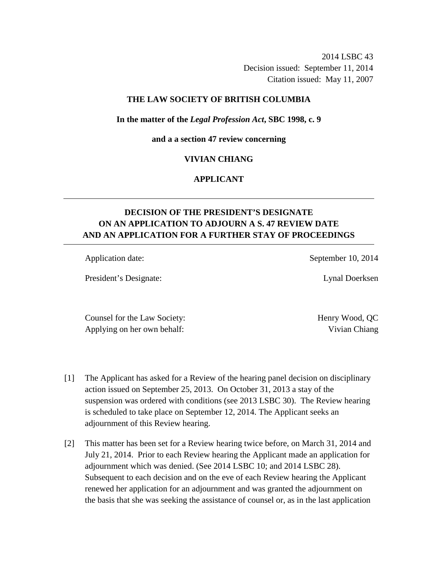2014 LSBC 43 Decision issued: September 11, 2014 Citation issued: May 11, 2007

## **THE LAW SOCIETY OF BRITISH COLUMBIA**

#### **In the matter of the** *Legal Profession Act***, SBC 1998, c. 9**

#### **and a a section 47 review concerning**

### **VIVIAN CHIANG**

## **APPLICANT**

# **DECISION OF THE PRESIDENT'S DESIGNATE ON AN APPLICATION TO ADJOURN A S. 47 REVIEW DATE AND AN APPLICATION FOR A FURTHER STAY OF PROCEEDINGS**

President's Designate: Lynal Doerksen

Application date: September 10, 2014

Counsel for the Law Society: Henry Wood, QC Applying on her own behalf: Vivian Chiang

- [1] The Applicant has asked for a Review of the hearing panel decision on disciplinary action issued on September 25, 2013. On October 31, 2013 a stay of the suspension was ordered with conditions (see 2013 LSBC 30). The Review hearing is scheduled to take place on September 12, 2014. The Applicant seeks an adjournment of this Review hearing.
- [2] This matter has been set for a Review hearing twice before, on March 31, 2014 and July 21, 2014. Prior to each Review hearing the Applicant made an application for adjournment which was denied. (See 2014 LSBC 10; and 2014 LSBC 28). Subsequent to each decision and on the eve of each Review hearing the Applicant renewed her application for an adjournment and was granted the adjournment on the basis that she was seeking the assistance of counsel or, as in the last application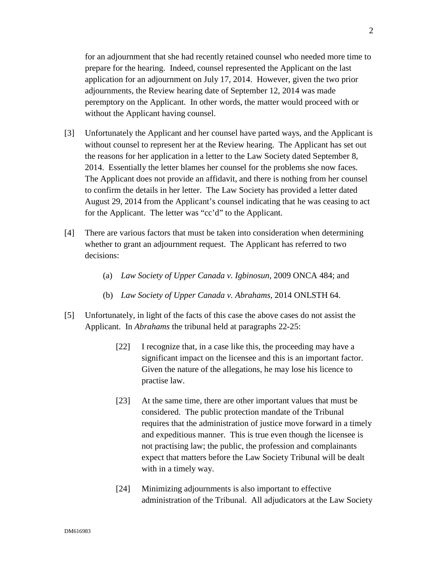for an adjournment that she had recently retained counsel who needed more time to prepare for the hearing. Indeed, counsel represented the Applicant on the last application for an adjournment on July 17, 2014. However, given the two prior adjournments, the Review hearing date of September 12, 2014 was made peremptory on the Applicant. In other words, the matter would proceed with or without the Applicant having counsel.

- [3] Unfortunately the Applicant and her counsel have parted ways, and the Applicant is without counsel to represent her at the Review hearing. The Applicant has set out the reasons for her application in a letter to the Law Society dated September 8, 2014. Essentially the letter blames her counsel for the problems she now faces. The Applicant does not provide an affidavit, and there is nothing from her counsel to confirm the details in her letter. The Law Society has provided a letter dated August 29, 2014 from the Applicant's counsel indicating that he was ceasing to act for the Applicant. The letter was "cc'd" to the Applicant.
- [4] There are various factors that must be taken into consideration when determining whether to grant an adjournment request. The Applicant has referred to two decisions:
	- (a) *Law Society of Upper Canada v. Igbinosun*, 2009 ONCA 484; and
	- (b) *Law Society of Upper Canada v. Abrahams,* 2014 ONLSTH 64.
- [5] Unfortunately, in light of the facts of this case the above cases do not assist the Applicant. In *Abrahams* the tribunal held at paragraphs 22-25:
	- [22] I recognize that, in a case like this, the proceeding may have a significant impact on the licensee and this is an important factor. Given the nature of the allegations, he may lose his licence to practise law.
	- [23] At the same time, there are other important values that must be considered. The public protection mandate of the Tribunal requires that the administration of justice move forward in a timely and expeditious manner. This is true even though the licensee is not practising law; the public, the profession and complainants expect that matters before the Law Society Tribunal will be dealt with in a timely way.
	- [24] Minimizing adjournments is also important to effective administration of the Tribunal. All adjudicators at the Law Society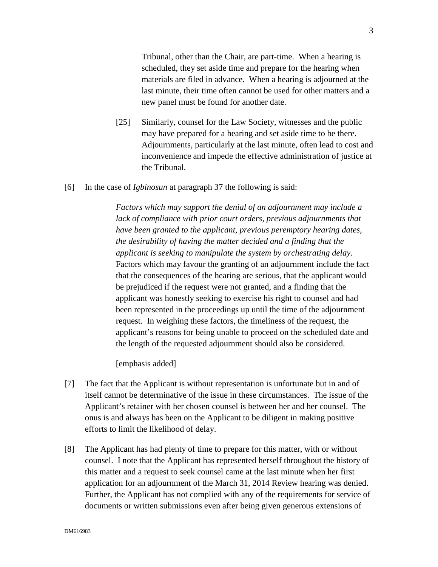Tribunal, other than the Chair, are part-time. When a hearing is scheduled, they set aside time and prepare for the hearing when materials are filed in advance. When a hearing is adjourned at the last minute, their time often cannot be used for other matters and a new panel must be found for another date.

- [25] Similarly, counsel for the Law Society, witnesses and the public may have prepared for a hearing and set aside time to be there. Adjournments, particularly at the last minute, often lead to cost and inconvenience and impede the effective administration of justice at the Tribunal.
- [6] In the case of *Igbinosun* at paragraph 37 the following is said:

*Factors which may support the denial of an adjournment may include a*  lack of compliance with prior court orders, previous adjournments that *have been granted to the applicant, previous peremptory hearing dates, the desirability of having the matter decided and a finding that the applicant is seeking to manipulate the system by orchestrating delay.* Factors which may favour the granting of an adjournment include the fact that the consequences of the hearing are serious, that the applicant would be prejudiced if the request were not granted, and a finding that the applicant was honestly seeking to exercise his right to counsel and had been represented in the proceedings up until the time of the adjournment request. In weighing these factors, the timeliness of the request, the applicant's reasons for being unable to proceed on the scheduled date and the length of the requested adjournment should also be considered.

[emphasis added]

- [7] The fact that the Applicant is without representation is unfortunate but in and of itself cannot be determinative of the issue in these circumstances. The issue of the Applicant's retainer with her chosen counsel is between her and her counsel. The onus is and always has been on the Applicant to be diligent in making positive efforts to limit the likelihood of delay.
- [8] The Applicant has had plenty of time to prepare for this matter, with or without counsel. I note that the Applicant has represented herself throughout the history of this matter and a request to seek counsel came at the last minute when her first application for an adjournment of the March 31, 2014 Review hearing was denied. Further, the Applicant has not complied with any of the requirements for service of documents or written submissions even after being given generous extensions of